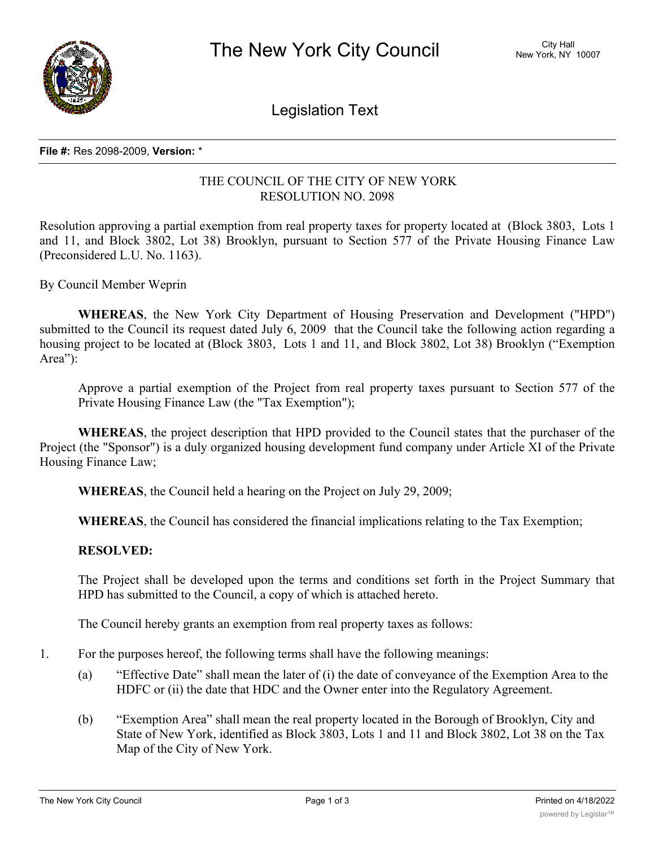

Legislation Text

### **File #:** Res 2098-2009, **Version:** \*

# THE COUNCIL OF THE CITY OF NEW YORK RESOLUTION NO. 2098

Resolution approving a partial exemption from real property taxes for property located at (Block 3803, Lots 1 and 11, and Block 3802, Lot 38) Brooklyn, pursuant to Section 577 of the Private Housing Finance Law (Preconsidered L.U. No. 1163).

By Council Member Weprin

**WHEREAS**, the New York City Department of Housing Preservation and Development ("HPD") submitted to the Council its request dated July 6, 2009 that the Council take the following action regarding a housing project to be located at (Block 3803, Lots 1 and 11, and Block 3802, Lot 38) Brooklyn ("Exemption Area"):

Approve a partial exemption of the Project from real property taxes pursuant to Section 577 of the Private Housing Finance Law (the "Tax Exemption");

**WHEREAS**, the project description that HPD provided to the Council states that the purchaser of the Project (the "Sponsor") is a duly organized housing development fund company under Article XI of the Private Housing Finance Law;

**WHEREAS**, the Council held a hearing on the Project on July 29, 2009;

**WHEREAS**, the Council has considered the financial implications relating to the Tax Exemption;

# **RESOLVED:**

The Project shall be developed upon the terms and conditions set forth in the Project Summary that HPD has submitted to the Council, a copy of which is attached hereto.

The Council hereby grants an exemption from real property taxes as follows:

- 1. For the purposes hereof, the following terms shall have the following meanings:
	- (a) "Effective Date" shall mean the later of (i) the date of conveyance of the Exemption Area to the HDFC or (ii) the date that HDC and the Owner enter into the Regulatory Agreement.
	- (b) "Exemption Area" shall mean the real property located in the Borough of Brooklyn, City and State of New York, identified as Block 3803, Lots 1 and 11 and Block 3802, Lot 38 on the Tax Map of the City of New York.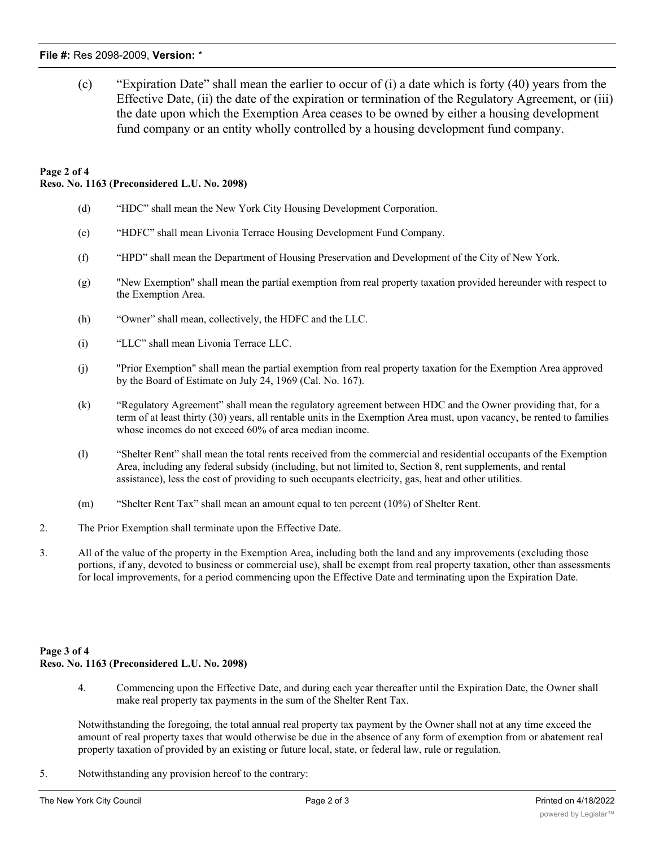### **File #:** Res 2098-2009, **Version:** \*

(c) "Expiration Date" shall mean the earlier to occur of (i) a date which is forty (40) years from the Effective Date, (ii) the date of the expiration or termination of the Regulatory Agreement, or (iii) the date upon which the Exemption Area ceases to be owned by either a housing development fund company or an entity wholly controlled by a housing development fund company.

### **Page 2 of 4 Reso. No. 1163 (Preconsidered L.U. No. 2098)**

- (d) "HDC" shall mean the New York City Housing Development Corporation.
- (e) "HDFC" shall mean Livonia Terrace Housing Development Fund Company.
- (f) "HPD" shall mean the Department of Housing Preservation and Development of the City of New York.
- (g) "New Exemption" shall mean the partial exemption from real property taxation provided hereunder with respect to the Exemption Area.
- (h) "Owner" shall mean, collectively, the HDFC and the LLC.
- (i) "LLC" shall mean Livonia Terrace LLC.
- (j) "Prior Exemption" shall mean the partial exemption from real property taxation for the Exemption Area approved by the Board of Estimate on July 24, 1969 (Cal. No. 167).
- (k) "Regulatory Agreement" shall mean the regulatory agreement between HDC and the Owner providing that, for a term of at least thirty (30) years, all rentable units in the Exemption Area must, upon vacancy, be rented to families whose incomes do not exceed 60% of area median income.
- (l) "Shelter Rent" shall mean the total rents received from the commercial and residential occupants of the Exemption Area, including any federal subsidy (including, but not limited to, Section 8, rent supplements, and rental assistance), less the cost of providing to such occupants electricity, gas, heat and other utilities.
- (m) "Shelter Rent Tax" shall mean an amount equal to ten percent (10%) of Shelter Rent.
- 2. The Prior Exemption shall terminate upon the Effective Date.
- 3. All of the value of the property in the Exemption Area, including both the land and any improvements (excluding those portions, if any, devoted to business or commercial use), shall be exempt from real property taxation, other than assessments for local improvements, for a period commencing upon the Effective Date and terminating upon the Expiration Date.

# **Page 3 of 4 Reso. No. 1163 (Preconsidered L.U. No. 2098)**

4. Commencing upon the Effective Date, and during each year thereafter until the Expiration Date, the Owner shall make real property tax payments in the sum of the Shelter Rent Tax.

Notwithstanding the foregoing, the total annual real property tax payment by the Owner shall not at any time exceed the amount of real property taxes that would otherwise be due in the absence of any form of exemption from or abatement real property taxation of provided by an existing or future local, state, or federal law, rule or regulation.

5. Notwithstanding any provision hereof to the contrary: